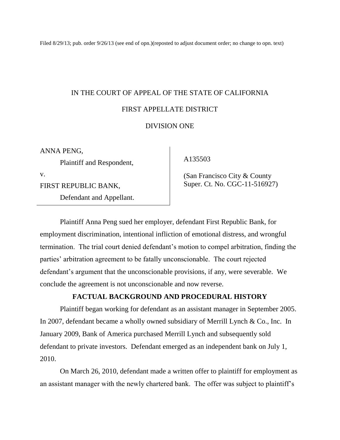Filed 8/29/13; pub. order 9/26/13 (see end of opn.)(reposted to adjust document order; no change to opn. text)

# IN THE COURT OF APPEAL OF THE STATE OF CALIFORNIA FIRST APPELLATE DISTRICT

# DIVISION ONE

ANNA PENG,

Plaintiff and Respondent,

v.

FIRST REPUBLIC BANK,

Defendant and Appellant.

A135503

 (San Francisco City & County Super. Ct. No. CGC-11-516927)

Plaintiff Anna Peng sued her employer, defendant First Republic Bank, for employment discrimination, intentional infliction of emotional distress, and wrongful termination. The trial court denied defendant's motion to compel arbitration, finding the parties' arbitration agreement to be fatally unconscionable. The court rejected defendant's argument that the unconscionable provisions, if any, were severable. We conclude the agreement is not unconscionable and now reverse.

# **FACTUAL BACKGROUND AND PROCEDURAL HISTORY**

Plaintiff began working for defendant as an assistant manager in September 2005. In 2007, defendant became a wholly owned subsidiary of Merrill Lynch & Co., Inc. In January 2009, Bank of America purchased Merrill Lynch and subsequently sold defendant to private investors. Defendant emerged as an independent bank on July 1, 2010.

On March 26, 2010, defendant made a written offer to plaintiff for employment as an assistant manager with the newly chartered bank. The offer was subject to plaintiff's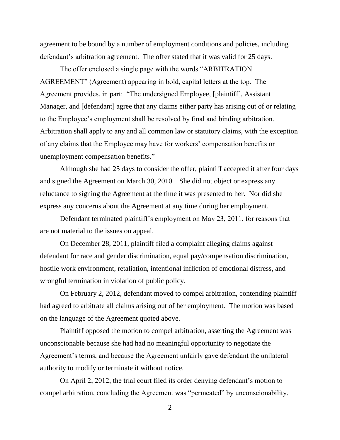agreement to be bound by a number of employment conditions and policies, including defendant's arbitration agreement. The offer stated that it was valid for 25 days.

The offer enclosed a single page with the words "ARBITRATION" AGREEMENT" (Agreement) appearing in bold, capital letters at the top. The Agreement provides, in part: "The undersigned Employee, [plaintiff], Assistant Manager, and [defendant] agree that any claims either party has arising out of or relating to the Employee's employment shall be resolved by final and binding arbitration. Arbitration shall apply to any and all common law or statutory claims, with the exception of any claims that the Employee may have for workers' compensation benefits or unemployment compensation benefits."

Although she had 25 days to consider the offer, plaintiff accepted it after four days and signed the Agreement on March 30, 2010. She did not object or express any reluctance to signing the Agreement at the time it was presented to her. Nor did she express any concerns about the Agreement at any time during her employment.

Defendant terminated plaintiff's employment on May 23, 2011, for reasons that are not material to the issues on appeal.

On December 28, 2011, plaintiff filed a complaint alleging claims against defendant for race and gender discrimination, equal pay/compensation discrimination, hostile work environment, retaliation, intentional infliction of emotional distress, and wrongful termination in violation of public policy.

On February 2, 2012, defendant moved to compel arbitration, contending plaintiff had agreed to arbitrate all claims arising out of her employment. The motion was based on the language of the Agreement quoted above.

Plaintiff opposed the motion to compel arbitration, asserting the Agreement was unconscionable because she had had no meaningful opportunity to negotiate the Agreement's terms, and because the Agreement unfairly gave defendant the unilateral authority to modify or terminate it without notice.

On April 2, 2012, the trial court filed its order denying defendant's motion to compel arbitration, concluding the Agreement was "permeated" by unconscionability.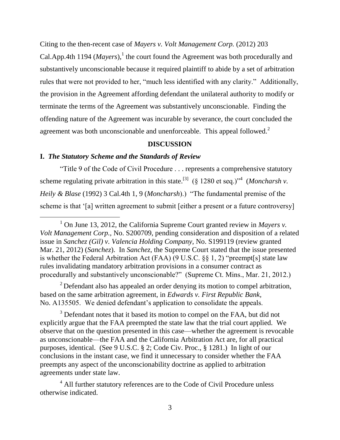Citing to the then-recent case of *Mayers v. Volt Management Corp.* (2012) 203

Cal.App.4th 1194 ( $Mayers$ ),<sup>1</sup> the court found the Agreement was both procedurally and substantively unconscionable because it required plaintiff to abide by a set of arbitration rules that were not provided to her, "much less identified with any clarity." Additionally, the provision in the Agreement affording defendant the unilateral authority to modify or terminate the terms of the Agreement was substantively unconscionable. Finding the offending nature of the Agreement was incurable by severance, the court concluded the agreement was both unconscionable and unenforceable. This appeal followed.<sup>2</sup>

## **DISCUSSION**

# **I.** *The Statutory Scheme and the Standards of Review*

―Title 9 of the Code of Civil Procedure . . . represents a comprehensive statutory scheme regulating private arbitration in this state.<sup>[3]</sup> (§ 1280 et seq.)<sup>\*4</sup> (*Moncharsh v. Heily & Blase* (1992) 3 Cal.4th 1, 9 (*Moncharsh*).) "The fundamental premise of the scheme is that '[a] written agreement to submit [either a present or a future controversy]

 $2$  Defendant also has appealed an order denying its motion to compel arbitration, based on the same arbitration agreement, in *Edwards v. First Republic Bank,*  No. A135505. We denied defendant's application to consolidate the appeals.

<sup>3</sup> Defendant notes that it based its motion to compel on the FAA, but did not explicitly argue that the FAA preempted the state law that the trial court applied. We observe that on the question presented in this case—whether the agreement is revocable as unconscionable—the FAA and the California Arbitration Act are, for all practical purposes, identical. (See 9 U.S.C. § 2; Code Civ. Proc., § 1281.) In light of our conclusions in the instant case, we find it unnecessary to consider whether the FAA preempts any aspect of the unconscionability doctrine as applied to arbitration agreements under state law.

<sup>4</sup> All further statutory references are to the Code of Civil Procedure unless otherwise indicated.

<sup>&</sup>lt;sup>1</sup> On June 13, 2012, the California Supreme Court granted review in *Mayers v. Volt Management Corp.,* No. S200709, pending consideration and disposition of a related issue in *Sanchez (Gil) v. Valencia Holding Company,* No. S199119 (review granted Mar. 21, 2012) (*Sanchez*). In *Sanchez,* the Supreme Court stated that the issue presented is whether the Federal Arbitration Act (FAA) (9 U.S.C.  $\S\S 1, 2$ ) "preempt[s] state law rules invalidating mandatory arbitration provisions in a consumer contract as procedurally and substantively unconscionable?" (Supreme Ct. Mins., Mar. 21, 2012.)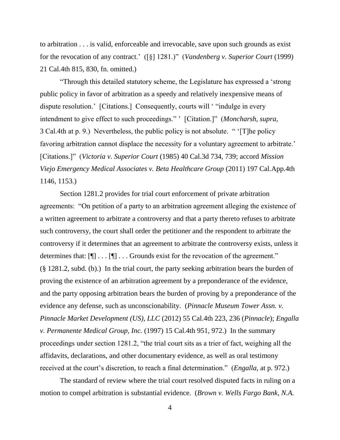to arbitration . . . is valid, enforceable and irrevocable, save upon such grounds as exist for the revocation of any contract.' ([§] 1281.)" (*Vandenberg v. Superior Court* (1999) 21 Cal.4th 815, 830, fn. omitted.)

"Through this detailed statutory scheme, the Legislature has expressed a 'strong' public policy in favor of arbitration as a speedy and relatively inexpensive means of dispute resolution.' [Citations.] Consequently, courts will "indulge in every intendment to give effect to such proceedings." ' [Citation.]" (*Moncharsh, supra,* 3 Cal.4th at p. 9.) Nevertheless, the public policy is not absolute. " The policy favoring arbitration cannot displace the necessity for a voluntary agreement to arbitrate.' [Citations.]‖ (*Victoria v. Superior Court* (1985) 40 Cal.3d 734, 739; accord *Mission Viejo Emergency Medical Associates v. Beta Healthcare Group* (2011) 197 Cal.App.4th 1146, 1153.)

Section 1281.2 provides for trial court enforcement of private arbitration agreements: "On petition of a party to an arbitration agreement alleging the existence of a written agreement to arbitrate a controversy and that a party thereto refuses to arbitrate such controversy, the court shall order the petitioner and the respondent to arbitrate the controversy if it determines that an agreement to arbitrate the controversy exists, unless it determines that:  $[\P] \dots [\P] \dots$  Grounds exist for the revocation of the agreement." (§ 1281.2, subd. (b).) In the trial court, the party seeking arbitration bears the burden of proving the existence of an arbitration agreement by a preponderance of the evidence, and the party opposing arbitration bears the burden of proving by a preponderance of the evidence any defense, such as unconscionability. (*Pinnacle Museum Tower Assn. v. Pinnacle Market Development (US), LLC* (2012) 55 Cal.4th 223, 236 (*Pinnacle*); *Engalla v. Permanente Medical Group, Inc.* (1997) 15 Cal.4th 951, 972.) In the summary proceedings under section 1281.2, "the trial court sits as a trier of fact, weighing all the affidavits, declarations, and other documentary evidence, as well as oral testimony received at the court's discretion, to reach a final determination." (*Engalla*, at p. 972.)

The standard of review where the trial court resolved disputed facts in ruling on a motion to compel arbitration is substantial evidence. (*Brown v. Wells Fargo Bank, N.A.*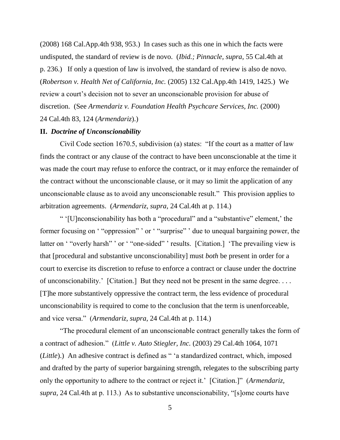(2008) 168 Cal.App.4th 938, 953.) In cases such as this one in which the facts were undisputed, the standard of review is de novo. (*Ibid.; Pinnacle, supra,* 55 Cal.4th at p. 236.) If only a question of law is involved, the standard of review is also de novo. (*Robertson v. Health Net of California, Inc.* (2005) 132 Cal.App.4th 1419, 1425.) We review a court's decision not to sever an unconscionable provision for abuse of discretion. (See *Armendariz v. Foundation Health Psychcare Services, Inc.* (2000) 24 Cal.4th 83, 124 (*Armendariz*).)

#### **II.** *Doctrine of Unconscionability*

Civil Code section 1670.5, subdivision (a) states: "If the court as a matter of law finds the contract or any clause of the contract to have been unconscionable at the time it was made the court may refuse to enforce the contract, or it may enforce the remainder of the contract without the unconscionable clause, or it may so limit the application of any unconscionable clause as to avoid any unconscionable result." This provision applies to arbitration agreements. (*Armendariz, supra,* 24 Cal.4th at p. 114.)

" '[U]nconscionability has both a "procedural" and a "substantive" element,' the former focusing on ""oppression" ' or ""surprise" ' due to unequal bargaining power, the latter on "overly harsh" ' or "one-sided" ' results. [Citation.] 'The prevailing view is that [procedural and substantive unconscionability] must *both* be present in order for a court to exercise its discretion to refuse to enforce a contract or clause under the doctrine of unconscionability.' [Citation.] But they need not be present in the same degree. . . . [T]he more substantively oppressive the contract term, the less evidence of procedural unconscionability is required to come to the conclusion that the term is unenforceable, and vice versa.‖ (*Armendariz, supra,* 24 Cal.4th at p. 114.)

―The procedural element of an unconscionable contract generally takes the form of a contract of adhesion.‖ (*Little v. Auto Stiegler, Inc.* (2003) 29 Cal.4th 1064, 1071 (*Little*).) An adhesive contract is defined as "'a standardized contract, which, imposed and drafted by the party of superior bargaining strength, relegates to the subscribing party only the opportunity to adhere to the contract or reject it.' [Citation.]" (*Armendariz, supra,* 24 Cal.4th at p. 113.) As to substantive unconscionability, "[s]ome courts have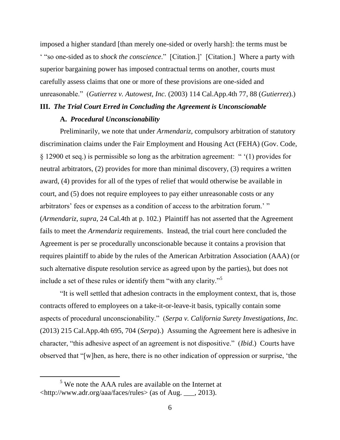imposed a higher standard [than merely one-sided or overly harsh]: the terms must be <sup>"</sup> "so one-sided as to *shock the conscience*." [Citation.]' [Citation.] Where a party with superior bargaining power has imposed contractual terms on another, courts must carefully assess claims that one or more of these provisions are one-sided and unreasonable.‖ (*Gutierrez v. Autowest, Inc.* (2003) 114 Cal.App.4th 77, 88 (*Gutierrez*).)

# **III.** *The Trial Court Erred in Concluding the Agreement is Unconscionable*

### **A.** *Procedural Unconscionability*

Preliminarily, we note that under *Armendariz,* compulsory arbitration of statutory discrimination claims under the Fair Employment and Housing Act (FEHA) (Gov. Code,  $\S$  12900 et seq.) is permissible so long as the arbitration agreement: " $(1)$  provides for neutral arbitrators, (2) provides for more than minimal discovery, (3) requires a written award, (4) provides for all of the types of relief that would otherwise be available in court, and (5) does not require employees to pay either unreasonable costs or any arbitrators' fees or expenses as a condition of access to the arbitration forum.' " (*Armendariz, supra,* 24 Cal.4th at p. 102.) Plaintiff has not asserted that the Agreement fails to meet the *Armendariz* requirements. Instead, the trial court here concluded the Agreement is per se procedurally unconscionable because it contains a provision that requires plaintiff to abide by the rules of the American Arbitration Association (AAA) (or such alternative dispute resolution service as agreed upon by the parties), but does not include a set of these rules or identify them "with any clarity."<sup>5</sup>

―It is well settled that adhesion contracts in the employment context, that is, those contracts offered to employees on a take-it-or-leave-it basis, typically contain some aspects of procedural unconscionability." (*Serpa v. California Surety Investigations, Inc.* (2013) 215 Cal.App.4th 695, 704 (*Serpa*).) Assuming the Agreement here is adhesive in character, "this adhesive aspect of an agreement is not dispositive." *(Ibid.)* Courts have observed that  $\lq$ [w]hen, as here, there is no other indication of oppression or surprise,  $\lq$ the

 $\overline{a}$ 

<sup>&</sup>lt;sup>5</sup> We note the AAA rules are available on the Internet at <http://www.adr.org/aaa/faces/rules> (as of Aug. \_\_\_, 2013).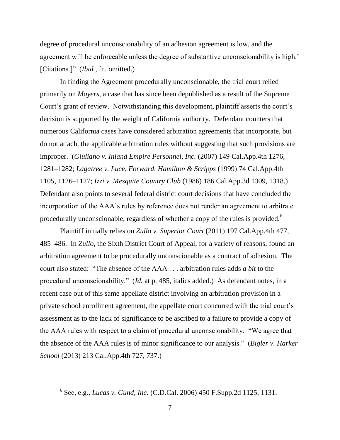degree of procedural unconscionability of an adhesion agreement is low, and the agreement will be enforceable unless the degree of substantive unconscionability is high.' [Citations.]" (*Ibid.*, fn. omitted.)

In finding the Agreement procedurally unconscionable, the trial court relied primarily on *Mayers,* a case that has since been depublished as a result of the Supreme Court's grant of review. Notwithstanding this development, plaintiff asserts the court's decision is supported by the weight of California authority. Defendant counters that numerous California cases have considered arbitration agreements that incorporate, but do not attach, the applicable arbitration rules without suggesting that such provisions are improper. (*Giuliano v. Inland Empire Personnel, Inc.* (2007) 149 Cal.App.4th 1276, 1281–1282; *Lagatree v. Luce, Forward, Hamilton & Scripps* (1999) 74 Cal.App.4th 1105, 1126–1127; *Izzi v. Mesquite Country Club* (1986) 186 Cal.App.3d 1309, 1318.) Defendant also points to several federal district court decisions that have concluded the incorporation of the AAA's rules by reference does not render an agreement to arbitrate procedurally unconscionable, regardless of whether a copy of the rules is provided.<sup>6</sup>

Plaintiff initially relies on *Zullo v. Superior Court* (2011) 197 Cal.App.4th 477, 485–486. In *Zullo,* the Sixth District Court of Appeal, for a variety of reasons, found an arbitration agreement to be procedurally unconscionable as a contract of adhesion. The court also stated: "The absence of the AAA . . . arbitration rules adds *a bit* to the procedural unconscionability.‖ (*Id.* at p. 485, italics added.) As defendant notes, in a recent case out of this same appellate district involving an arbitration provision in a private school enrollment agreement, the appellate court concurred with the trial court's assessment as to the lack of significance to be ascribed to a failure to provide a copy of the AAA rules with respect to a claim of procedural unconscionability: "We agree that the absence of the AAA rules is of minor significance to our analysis.‖ (*Bigler v. Harker School* (2013) 213 Cal.App.4th 727, 737.)

 $\overline{a}$ 

<sup>6</sup> See, e.g.*, Lucas v. Gund, Inc.* (C.D.Cal. 2006) 450 F.Supp.2d 1125, 1131.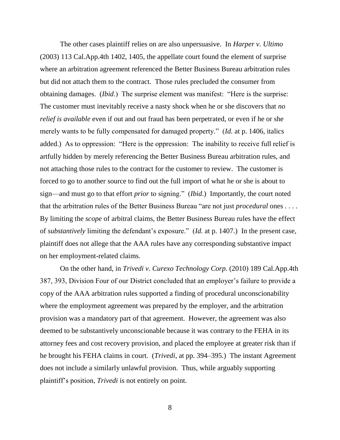The other cases plaintiff relies on are also unpersuasive. In *Harper v. Ultimo* (2003) 113 Cal.App.4th 1402, 1405, the appellate court found the element of surprise where an arbitration agreement referenced the Better Business Bureau arbitration rules but did not attach them to the contract. Those rules precluded the consumer from obtaining damages. *(Ibid.)* The surprise element was manifest: "Here is the surprise: The customer must inevitably receive a nasty shock when he or she discovers that *no relief is available* even if out and out fraud has been perpetrated, or even if he or she merely wants to be fully compensated for damaged property." (*Id.* at p. 1406, italics added.) As to oppression: "Here is the oppression: The inability to receive full relief is artfully hidden by merely referencing the Better Business Bureau arbitration rules, and not attaching those rules to the contract for the customer to review. The customer is forced to go to another source to find out the full import of what he or she is about to sign—and must go to that effort *prior* to signing." (*Ibid*.) Importantly, the court noted that the arbitration rules of the Better Business Bureau "are not just *procedural* ones . . . . By limiting the *scope* of arbitral claims, the Better Business Bureau rules have the effect of *substantively* limiting the defendant's exposure.‖ (*Id.* at p. 1407.) In the present case, plaintiff does not allege that the AAA rules have any corresponding substantive impact on her employment-related claims.

On the other hand, in *Trivedi v. Curexo Technology Corp.* (2010) 189 Cal.App.4th 387, 393, Division Four of our District concluded that an employer's failure to provide a copy of the AAA arbitration rules supported a finding of procedural unconscionability where the employment agreement was prepared by the employer, and the arbitration provision was a mandatory part of that agreement. However, the agreement was also deemed to be substantively unconscionable because it was contrary to the FEHA in its attorney fees and cost recovery provision, and placed the employee at greater risk than if he brought his FEHA claims in court. (*Trivedi*, at pp. 394–395.) The instant Agreement does not include a similarly unlawful provision. Thus, while arguably supporting plaintiff's position, *Trivedi* is not entirely on point.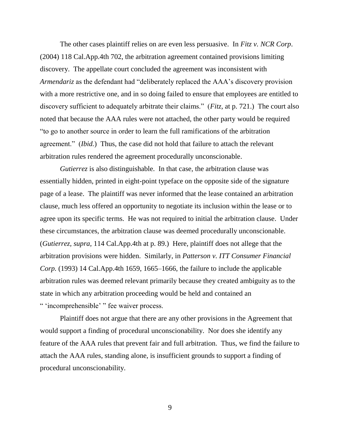The other cases plaintiff relies on are even less persuasive. In *Fitz v. NCR Corp*. (2004) 118 Cal.App.4th 702, the arbitration agreement contained provisions limiting discovery. The appellate court concluded the agreement was inconsistent with *Armendariz* as the defendant had "deliberately replaced the AAA's discovery provision with a more restrictive one, and in so doing failed to ensure that employees are entitled to discovery sufficient to adequately arbitrate their claims." (*Fitz*, at p. 721.) The court also noted that because the AAA rules were not attached, the other party would be required ―to go to another source in order to learn the full ramifications of the arbitration agreement." *(Ibid.)* Thus, the case did not hold that failure to attach the relevant arbitration rules rendered the agreement procedurally unconscionable.

*Gutierrez* is also distinguishable. In that case, the arbitration clause was essentially hidden, printed in eight-point typeface on the opposite side of the signature page of a lease. The plaintiff was never informed that the lease contained an arbitration clause, much less offered an opportunity to negotiate its inclusion within the lease or to agree upon its specific terms. He was not required to initial the arbitration clause. Under these circumstances, the arbitration clause was deemed procedurally unconscionable. (*Gutierrez, supra,* 114 Cal.App.4th at p. 89.) Here, plaintiff does not allege that the arbitration provisions were hidden. Similarly, in *Patterson v. ITT Consumer Financial Corp.* (1993) 14 Cal.App.4th 1659, 1665–1666, the failure to include the applicable arbitration rules was deemed relevant primarily because they created ambiguity as to the state in which any arbitration proceeding would be held and contained an " 'incomprehensible' " fee waiver process.

Plaintiff does not argue that there are any other provisions in the Agreement that would support a finding of procedural unconscionability. Nor does she identify any feature of the AAA rules that prevent fair and full arbitration. Thus, we find the failure to attach the AAA rules, standing alone, is insufficient grounds to support a finding of procedural unconscionability.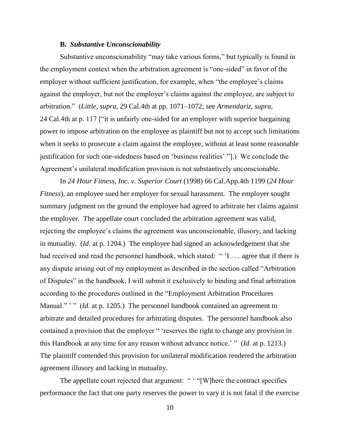#### **B.** *Substantive Unconscionability*

Substantive unconscionability "may take various forms," but typically is found in the employment context when the arbitration agreement is "one-sided" in favor of the employer without sufficient justification, for example, when "the employee's claims" against the employer, but not the employer's claims against the employee, are subject to arbitration.‖ (*Little, supra,* 29 Cal.4th at pp. 1071–1072; see *Armendariz, supra,* 24 Cal.4th at p. 117 ["it is unfairly one-sided for an employer with superior bargaining power to impose arbitration on the employee as plaintiff but not to accept such limitations when it seeks to prosecute a claim against the employee, without at least some reasonable justification for such one-sidedness based on 'business realities' "[.] We conclude the Agreement's unilateral modification provision is not substantively unconscionable.

In *24 Hour Fitness, Inc. v. Superior Court* (1998) 66 Cal.App.4th 1199 (*24 Hour Fitness*), an employee sued her employer for sexual harassment. The employer sought summary judgment on the ground the employee had agreed to arbitrate her claims against the employer. The appellate court concluded the arbitration agreement was valid, rejecting the employee's claims the agreement was unconscionable, illusory, and lacking in mutuality. (*Id*. at p. 1204.) The employee had signed an acknowledgement that she had received and read the personnel handbook, which stated: " $I \ldots$  agree that if there is any dispute arising out of my employment as described in the section called "Arbitration" of Disputes" in the handbook, I will submit it exclusively to binding and final arbitration according to the procedures outlined in the "Employment Arbitration Procedures" Manual." " (*Id.* at p. 1205.) The personnel handbook contained an agreement to arbitrate and detailed procedures for arbitrating disputes. The personnel handbook also contained a provision that the employer " 'reserves the right to change any provision in this Handbook at any time for any reason without advance notice.' " (*Id.* at p. 1213.) The plaintiff contended this provision for unilateral modification rendered the arbitration agreement illusory and lacking in mutuality.

The appellate court rejected that argument: " "[W]here the contract specifies performance the fact that one party reserves the power to vary it is not fatal if the exercise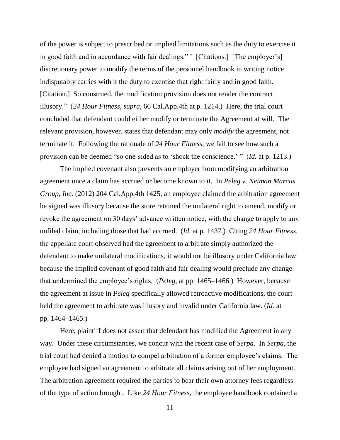of the power is subject to prescribed or implied limitations such as the duty to exercise it in good faith and in accordance with fair dealings." [Citations.] [The employer's] discretionary power to modify the terms of the personnel handbook in writing notice indisputably carries with it the duty to exercise that right fairly and in good faith. [Citation.] So construed, the modification provision does not render the contract illusory.‖ (*24 Hour Fitness, supra,* 66 Cal.App.4th at p. 1214.) Here, the trial court concluded that defendant could either modify or terminate the Agreement at will. The relevant provision, however, states that defendant may only *modify* the agreement, not terminate it. Following the rationale of *24 Hour Fitness,* we fail to see how such a provision can be deemed "so one-sided as to 'shock the conscience.' " (*Id.* at p. 1213.)

The implied covenant also prevents an employer from modifying an arbitration agreement once a claim has accrued or become known to it. In *Peleg v. Neiman Marcus Group, Inc.* (2012) 204 Cal.App.4th 1425, an employee claimed the arbitration agreement he signed was illusory because the store retained the unilateral right to amend, modify or revoke the agreement on 30 days' advance written notice, with the change to apply to any unfiled claim, including those that had accrued. (*Id.* at p. 1437.) Citing *24 Hour Fitness,* the appellate court observed had the agreement to arbitrate simply authorized the defendant to make unilateral modifications, it would not be illusory under California law because the implied covenant of good faith and fair dealing would preclude any change that undermined the employee's rights. (*Peleg,* at pp. 1465–1466.) However, because the agreement at issue in *Peleg* specifically allowed retroactive modifications, the court held the agreement to arbitrate was illusory and invalid under California law. (*Id.* at pp. 1464–1465.)

Here, plaintiff does not assert that defendant has modified the Agreement in any way. Under these circumstances, we concur with the recent case of *Serpa.* In *Serpa,* the trial court had denied a motion to compel arbitration of a former employee's claims. The employee had signed an agreement to arbitrate all claims arising out of her employment. The arbitration agreement required the parties to bear their own attorney fees regardless of the type of action brought. Like *24 Hour Fitness*, the employee handbook contained a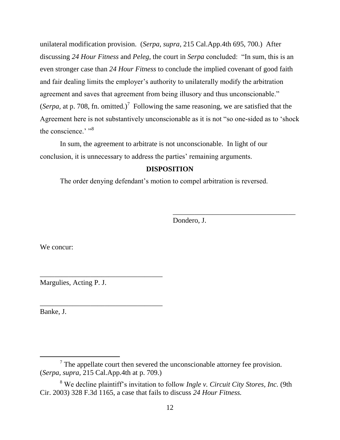unilateral modification provision. (*Serpa, supra,* 215 Cal.App.4th 695, 700.) After discussing 24 Hour Fitness and Peleg, the court in *Serpa* concluded: "In sum, this is an even stronger case than *24 Hour Fitness* to conclude the implied covenant of good faith and fair dealing limits the employer's authority to unilaterally modify the arbitration agreement and saves that agreement from being illusory and thus unconscionable." (*Serpa*, at p. 708, fn. omitted.)<sup>7</sup> Following the same reasoning, we are satisfied that the Agreement here is not substantively unconscionable as it is not "so one-sided as to 'shock the conscience.' "8

In sum, the agreement to arbitrate is not unconscionable. In light of our conclusion, it is unnecessary to address the parties' remaining arguments.

# **DISPOSITION**

The order denying defendant's motion to compel arbitration is reversed.

Dondero, J.

\_\_\_\_\_\_\_\_\_\_\_\_\_\_\_\_\_\_\_\_\_\_\_\_\_\_\_\_\_\_\_\_\_\_

We concur:

Margulies, Acting P. J.

\_\_\_\_\_\_\_\_\_\_\_\_\_\_\_\_\_\_\_\_\_\_\_\_\_\_\_\_\_\_\_\_\_\_

\_\_\_\_\_\_\_\_\_\_\_\_\_\_\_\_\_\_\_\_\_\_\_\_\_\_\_\_\_\_\_\_\_\_

Banke, J.

 $<sup>7</sup>$  The appellate court then severed the unconscionable attorney fee provision.</sup> (*Serpa, supra,* 215 Cal.App.4th at p. 709.)

<sup>8</sup> We decline plaintiff's invitation to follow *Ingle v. Circuit City Stores, Inc.* (9th Cir. 2003) 328 F.3d 1165, a case that fails to discuss *24 Hour Fitness.*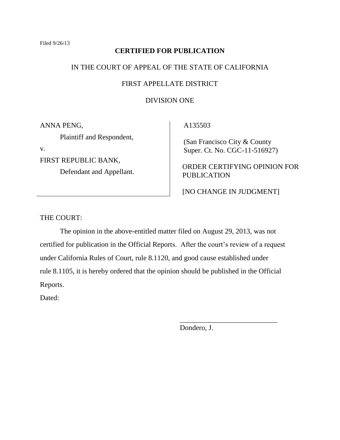# **CERTIFIED FOR PUBLICATION**

# IN THE COURT OF APPEAL OF THE STATE OF CALIFORNIA

# FIRST APPELLATE DISTRICT

# DIVISION ONE

ANNA PENG,

Plaintiff and Respondent,

v.

FIRST REPUBLIC BANK, Defendant and Appellant. A135503

 (San Francisco City & County Super. Ct. No. CGC-11-516927)

ORDER CERTIFYING OPINION FOR PUBLICATION

[NO CHANGE IN JUDGMENT]

\_\_\_\_\_\_\_\_\_\_\_\_\_\_\_\_\_\_\_\_\_\_\_\_\_\_\_

THE COURT:

The opinion in the above-entitled matter filed on August 29, 2013, was not certified for publication in the Official Reports. After the court's review of a request under California Rules of Court, rule 8.1120, and good cause established under rule 8.1105, it is hereby ordered that the opinion should be published in the Official Reports.

Dated:

Dondero, J.